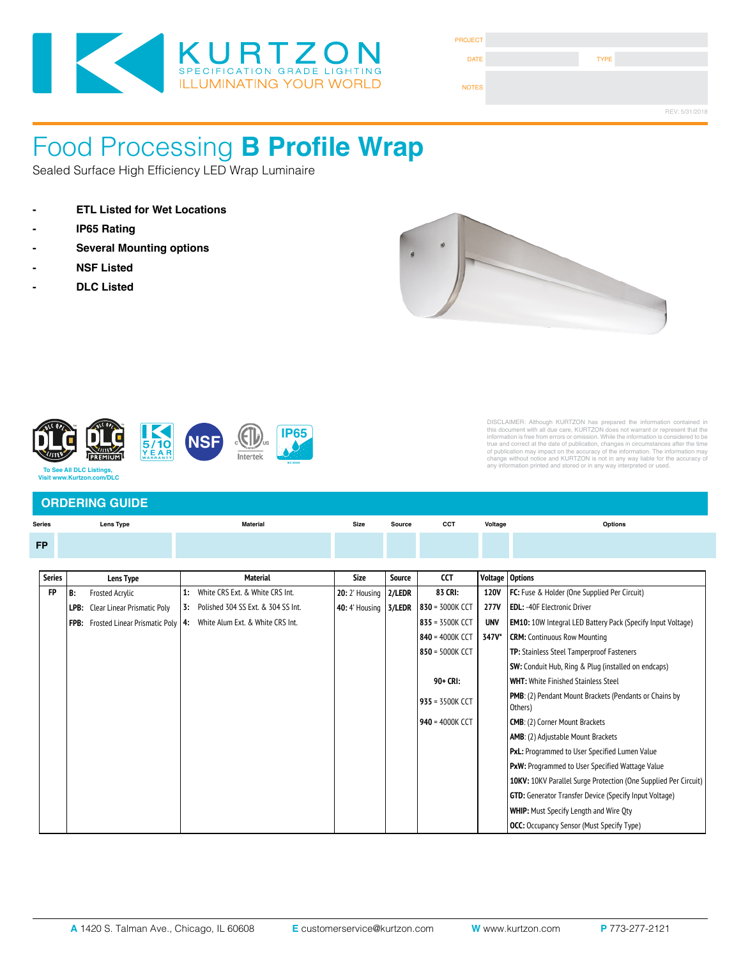

| <b>PROJECT</b> |             |                |
|----------------|-------------|----------------|
| <b>DATE</b>    | <b>TYPE</b> |                |
| <b>NOTES</b>   |             |                |
|                |             | REV: 5/31/2018 |

#### Food Processing **B Profile Wrap**  $\frac{1}{2}$ 10499110 R Protil  $\cos\theta$   $\sin\theta$  **-**  $\sin\theta$   $\sin\theta$   $\sin\theta$

 $\operatorname{\sf Sealed}$  Surface High Efficiency LED Wrap Luminaire

- 
- **IP65 Rating**
- 
- **NSF Listed**
- **DLC Listed**



Fixture Type

Fixture Type



# DISCLAIMER: Altihough KURTZON has prepared the information contained in<br>this document with all due care, KURTZON does not warrant or represent that the<br>information is free from errors or omission. While the information is

### **ORDERING GUIDE**

| Lens Type<br><b>Series</b> |      | <b>Material</b>             |    | <b>Size</b>                                                              | <b>CCT</b><br>Source  |               | Voltage         | Options     |                                                                    |
|----------------------------|------|-----------------------------|----|--------------------------------------------------------------------------|-----------------------|---------------|-----------------|-------------|--------------------------------------------------------------------|
| <b>FP</b>                  |      |                             |    |                                                                          |                       |               |                 |             |                                                                    |
|                            |      |                             |    |                                                                          |                       |               |                 |             |                                                                    |
| <b>Series</b>              |      | Lens Type                   |    | <b>Material</b>                                                          | Size                  | <b>Source</b> | <b>CCT</b>      | Voltage     | <b>Options</b>                                                     |
| FP                         | B:   | Frosted Acrylic             | 1: | White CRS Ext. & White CRS Int.                                          | <b>20:</b> 2' Housing | 2/LEDR        | 83 CRI:         | <b>120V</b> | FC: Fuse & Holder (One Supplied Per Circuit)                       |
|                            | LPB: | Clear Linear Prismatic Poly |    | 3: Polished 304 SS Ext. & 304 SS Int.                                    | <b>40:</b> 4' Housing | 3/LEDR        | 830 = 3000K CCT | 277V        | <b>EDL: -40F Electronic Driver</b>                                 |
|                            |      |                             |    | FPB: Frosted Linear Prismatic Poly   4: White Alum Ext. & White CRS Int. |                       |               | 835 = 3500K CCT | <b>UNV</b>  | <b>EM10:</b> 10W Integral LED Battery Pack (Specify Input Voltage) |
|                            |      |                             |    |                                                                          |                       |               | 840 = 4000K CCT | 347V*       | <b>CRM:</b> Continuous Row Mounting                                |
|                            |      |                             |    |                                                                          |                       |               | 850 = 5000K CCT |             | TP: Stainless Steel Tamperproof Fasteners                          |
|                            |      |                             |    |                                                                          |                       |               |                 |             | <b>SW:</b> Conduit Hub, Ring & Plug (installed on endcaps)         |
|                            |      |                             |    |                                                                          |                       |               | 90+ CRI:        |             | <b>WHT:</b> White Finished Stainless Steel                         |
|                            |      |                             |    |                                                                          |                       |               | 935 = 3500K CCT |             | PMB: (2) Pendant Mount Brackets (Pendants or Chains by<br>Others)  |
|                            |      |                             |    |                                                                          |                       |               | 940 = 4000K CCT |             | <b>CMB:</b> (2) Corner Mount Brackets                              |
|                            |      |                             |    |                                                                          |                       |               |                 |             | AMB: (2) Adjustable Mount Brackets                                 |
|                            |      |                             |    |                                                                          |                       |               |                 |             | PxL: Programmed to User Specified Lumen Value                      |
|                            |      |                             |    |                                                                          |                       |               |                 |             | PxW: Programmed to User Specified Wattage Value                    |
|                            |      |                             |    |                                                                          |                       |               |                 |             | 10KV: 10KV Parallel Surge Protection (One Supplied Per Circuit)    |
|                            |      |                             |    |                                                                          |                       |               |                 |             | <b>GTD:</b> Generator Transfer Device (Specify Input Voltage)      |
|                            |      |                             |    |                                                                          |                       |               |                 |             | <b>WHIP:</b> Must Specify Length and Wire Qty                      |
|                            |      |                             |    |                                                                          |                       |               |                 |             | <b>OCC:</b> Occupancy Sensor (Must Specify Type)                   |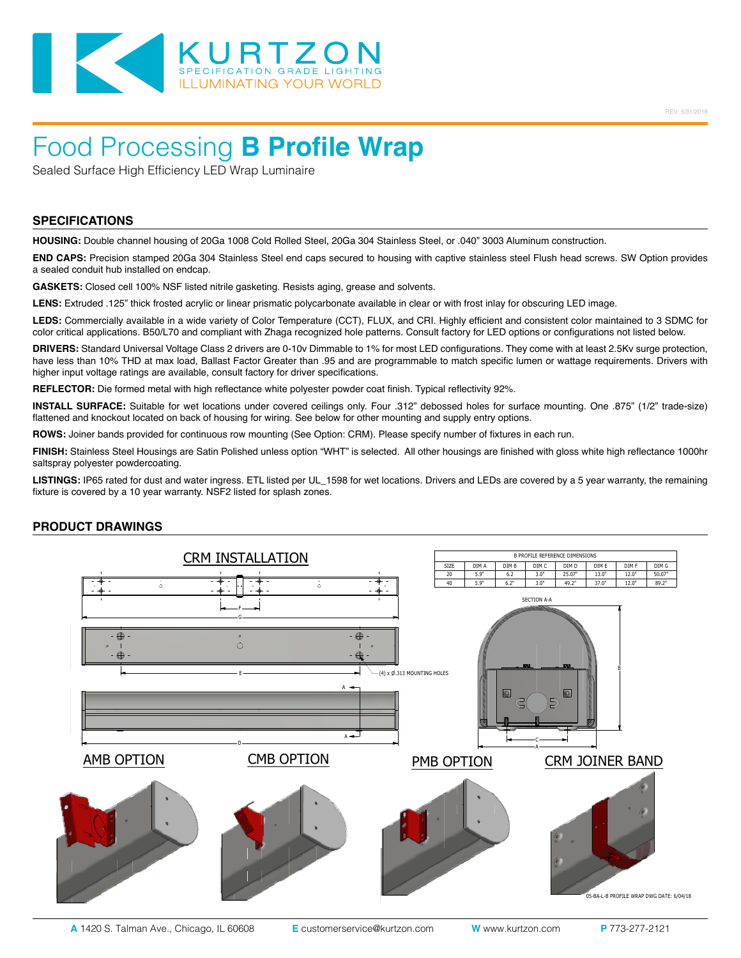

## Food Processing **B Profile Wrap**

Sealed Surface High Efficiency LED Wrap Luminaire

#### **SPECIFICATIONS**

**HOUSING:** Double channel housing of 20Ga 1008 Cold Rolled Steel, 20Ga 304 Stainless Steel, or .040" 3003 Aluminum construction.

**END CAPS:** Precision stamped 20Ga 304 Stainless Steel end caps secured to housing with captive stainless steel Flush head screws. SW Option provides a sealed conduit hub installed on endcap.

**GASKETS:** Closed cell 100% NSF listed nitrile gasketing. Resists aging, grease and solvents.

**LENS:** Extruded .125" thick frosted acrylic or linear prismatic polycarbonate available in clear or with frost inlay for obscuring LED image.

**LEDS:** Commercially available in a wide variety of Color Temperature (CCT), FLUX, and CRI. Highly efficient and consistent color maintained to 3 SDMC for color critical applications. B50/L70 and compliant with Zhaga recognized hole patterns. Consult factory for LED options or configurations not listed below.

**DRIVERS:** Standard Universal Voltage Class 2 drivers are 0-10v Dimmable to 1% for most LED configurations. They come with at least 2.5Kv surge protection, have less than 10% THD at max load, Ballast Factor Greater than .95 and are programmable to match specific lumen or wattage requirements. Drivers with higher input voltage ratings are available, consult factory for driver specifications.

**REFLECTOR:** Die formed metal with high reflectance white polyester powder coat finish. Typical reflectivity 92%.

**INSTALL SURFACE:** Suitable for wet locations under covered ceilings only. Four .312" debossed holes for surface mounting. One .875" (1/2" trade-size) flattened and knockout located on back of housing for wiring. See below for other mounting and supply entry options.

**ROWS:** Joiner bands provided for continuous row mounting (See Option: CRM). Please specify number of fixtures in each run.

**FINISH:** Stainless Steel Housings are Satin Polished unless option "WHT" is selected. All other housings are finished with gloss white high reflectance 1000hr saltspray polyester powdercoating.

**LISTINGS:** IP65 rated for dust and water ingress. ETL listed per UL\_1598 for wet locations. Drivers and LEDs are covered by a 5 year warranty, the remaining fixture is covered by a 10 year warranty. NSF2 listed for splash zones.